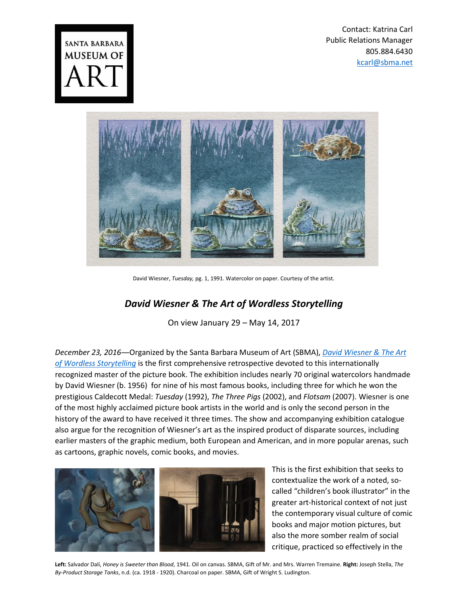Contact: Katrina Carl Public Relations Manager 805.884.6430 [kcarl@sbma.net](mailto:kcarl@sbma.net)





David Wiesner, *Tuesday,* pg. 1, 1991. Watercolor on paper. Courtesy of the artist.

## *David Wiesner & The Art of Wordless Storytelling*

On view January 29 – May 14, 2017

*December 23, 2016*―Organized by the Santa Barbara Museum of Art (SBMA), *[David Wiesner & The Art](https://www.sbma.net/exhibitions/wiesner)  [of Wordless Storytelling](https://www.sbma.net/exhibitions/wiesner)* is the first comprehensive retrospective devoted to this internationally recognized master of the picture book. The exhibition includes nearly 70 original watercolors handmade by David Wiesner (b. 1956) for nine of his most famous books, including three for which he won the prestigious Caldecott Medal: *Tuesday* (1992), *The Three Pigs* (2002), and *Flotsam* (2007). Wiesner is one of the most highly acclaimed picture book artists in the world and is only the second person in the history of the award to have received it three times. The show and accompanying exhibition catalogue also argue for the recognition of Wiesner's art as the inspired product of disparate sources, including earlier masters of the graphic medium, both European and American, and in more popular arenas, such as cartoons, graphic novels, comic books, and movies.



This is the first exhibition that seeks to contextualize the work of a noted, socalled "children's book illustrator" in the greater art-historical context of not just the contemporary visual culture of comic books and major motion pictures, but also the more somber realm of social critique, practiced so effectively in the

**Left:** Salvador Dalí, *Honey is Sweeter than Blood*, 1941. Oil on canvas. SBMA, Gift of Mr. and Mrs. Warren Tremaine. **Right:** Joseph Stella, *The By-Product Storage Tanks*, n.d. (ca. 1918 - 1920). Charcoal on paper. SBMA, Gift of Wright S. Ludington.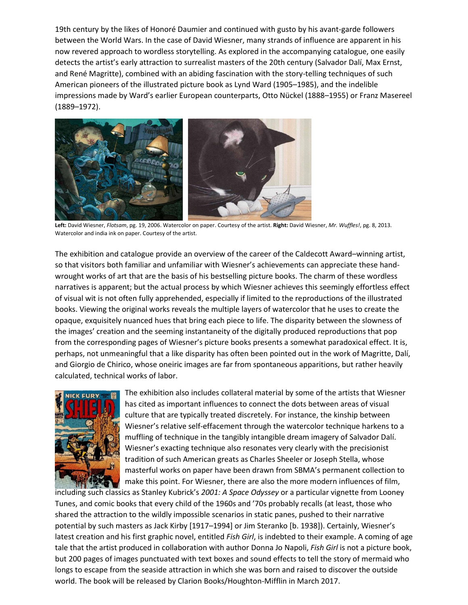19th century by the likes of Honoré Daumier and continued with gusto by his avant-garde followers between the World Wars. In the case of David Wiesner, many strands of influence are apparent in his now revered approach to wordless storytelling. As explored in the accompanying catalogue, one easily detects the artist's early attraction to surrealist masters of the 20th century (Salvador Dalí, Max Ernst, and René Magritte), combined with an abiding fascination with the story-telling techniques of such American pioneers of the illustrated picture book as Lynd Ward (1905–1985), and the indelible impressions made by Ward's earlier European counterparts, Otto Nückel (1888–1955) or Franz Masereel (1889–1972).



**Left:** David Wiesner, *Flotsam*, pg. 19, 2006. Watercolor on paper. Courtesy of the artist. **Right:** David Wiesner, *Mr. Wuffles!*, pg. 8, 2013. Watercolor and india ink on paper. Courtesy of the artist.

The exhibition and catalogue provide an overview of the career of the Caldecott Award–winning artist, so that visitors both familiar and unfamiliar with Wiesner's achievements can appreciate these handwrought works of art that are the basis of his bestselling picture books. The charm of these wordless narratives is apparent; but the actual process by which Wiesner achieves this seemingly effortless effect of visual wit is not often fully apprehended, especially if limited to the reproductions of the illustrated books. Viewing the original works reveals the multiple layers of watercolor that he uses to create the opaque, exquisitely nuanced hues that bring each piece to life. The disparity between the slowness of the images' creation and the seeming instantaneity of the digitally produced reproductions that pop from the corresponding pages of Wiesner's picture books presents a somewhat paradoxical effect. It is, perhaps, not unmeaningful that a like disparity has often been pointed out in the work of Magritte, Dalí, and Giorgio de Chirico, whose oneiric images are far from spontaneous apparitions, but rather heavily calculated, technical works of labor.



The exhibition also includes collateral material by some of the artists that Wiesner has cited as important influences to connect the dots between areas of visual culture that are typically treated discretely. For instance, the kinship between Wiesner's relative self-effacement through the watercolor technique harkens to a muffling of technique in the tangibly intangible dream imagery of Salvador Dalí. Wiesner's exacting technique also resonates very clearly with the precisionist tradition of such American greats as Charles Sheeler or Joseph Stella, whose masterful works on paper have been drawn from SBMA's permanent collection to make this point. For Wiesner, there are also the more modern influences of film,

including such classics as Stanley Kubrick's *2001: A Space Odyssey* or a particular vignette from Looney Tunes, and comic books that every child of the 1960s and '70s probably recalls (at least, those who shared the attraction to the wildly impossible scenarios in static panes, pushed to their narrative potential by such masters as Jack Kirby [1917–1994] or Jim Steranko [b. 1938]). Certainly, Wiesner's latest creation and his first graphic novel, entitled *Fish Girl*, is indebted to their example. A coming of age tale that the artist produced in collaboration with author Donna Jo Napoli, *Fish Girl* is not a picture book, but 200 pages of images punctuated with text boxes and sound effects to tell the story of mermaid who longs to escape from the seaside attraction in which she was born and raised to discover the outside world. The book will be released by Clarion Books/Houghton-Mifflin in March 2017.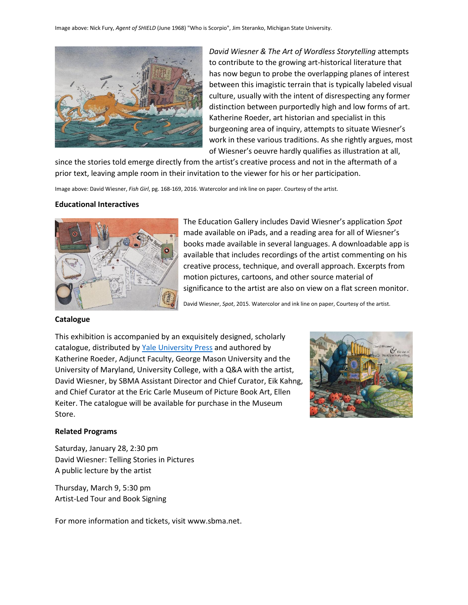

*David Wiesner & The Art of Wordless Storytelling* attempts to contribute to the growing art-historical literature that has now begun to probe the overlapping planes of interest between this imagistic terrain that is typically labeled visual culture, usually with the intent of disrespecting any former distinction between purportedly high and low forms of art. Katherine Roeder, art historian and specialist in this burgeoning area of inquiry, attempts to situate Wiesner's work in these various traditions. As she rightly argues, most of Wiesner's oeuvre hardly qualifies as illustration at all,

since the stories told emerge directly from the artist's creative process and not in the aftermath of a prior text, leaving ample room in their invitation to the viewer for his or her participation.

Image above: David Wiesner, *Fish Girl*, pg. 168-169, 2016. Watercolor and ink line on paper. Courtesy of the artist.

## **Educational Interactives**



The Education Gallery includes David Wiesner's application *Spot* made available on iPads, and a reading area for all of Wiesner's books made available in several languages. A downloadable app is available that includes recordings of the artist commenting on his creative process, technique, and overall approach. Excerpts from motion pictures, cartoons, and other source material of significance to the artist are also on view on a flat screen monitor.

David Wiesner, *Spot*, 2015. Watercolor and ink line on paper, Courtesy of the artist.

## **Catalogue**

This exhibition is accompanied by an exquisitely designed, scholarly catalogue, distributed b[y Yale University Press](http://yalebooks.com/book/9780300226010/david-wiesner-and-art-wordless-storytelling) and authored by Katherine Roeder, Adjunct Faculty, George Mason University and the University of Maryland, University College, with a Q&A with the artist, David Wiesner, by SBMA Assistant Director and Chief Curator, Eik Kahng, and Chief Curator at the Eric Carle Museum of Picture Book Art, Ellen Keiter. The catalogue will be available for purchase in the Museum Store.



## **Related Programs**

Saturday, January 28, 2:30 pm David Wiesner: Telling Stories in Pictures A public lecture by the artist

Thursday, March 9, 5:30 pm Artist-Led Tour and Book Signing

For more information and tickets, visit www.sbma.net.